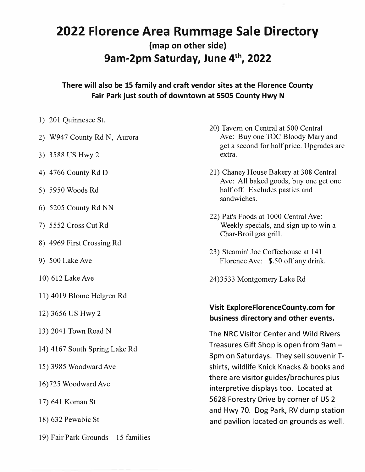## **2022 Florence Area Rummage Sale Directory (map on other side) 9am-2pm Saturday, June 4th , 2022**

**There will also be 15 family and craft vendor sites at the Florence County Fair Park just south of downtown at 5505 County Hwy N** 

- 1) 201 Quinnesec St.
- 2) W947 County Rd N, Aurora
- 3) 3588 US Hwy 2
- 4) 4766 County Rd D
- 5) 5950 Woods Rd
- 6) 5205 County Rd NN
- 7) 5552 Cross Cut Rd
- 8) 4969 First Crossing Rd
- 9) 500 Lake Ave
- 10) 612 Lake Ave
- 11) 4019 Blome Helgren Rd
- 12) 3656 US Hwy 2
- 13) 2041 Town Road N
- 14) 4167 South Spring Lake Rd
- 15) 3985 Woodward Ave
- 16)725 Woodward Ave
- 1 7) 641 Koman St
- 18) 632 Pewabic St
- 19) Fair Park Grounds 15 families
- 20) Tavern on Central at 500 Central Ave: Buy one TOC Bloody Mary and get a second for half price. Upgrades are extra.
- 21) Chaney House Bakery at 308 Central Ave: All baked goods, buy one get one half off. Excludes pasties and sandwiches.
- 22) Pat's Foods at 1000 Central Ave: Weekly specials, and sign up to win a Char-Broil gas grill.
- 23) Steamin' Joe Coffeehouse at 141 Florence Ave: \$.50 off any drink.
- 24)3533 Montgomery Lake Rd

## **Visit ExploreFlorenceCounty.com for business directory and other events.**

The NRC Visitor Center and Wild Rivers Treasures Gift Shop is open from 9am - 3pm on Saturdays. They sell souvenir Tshirts, wildlife Knick Knacks & books and there are visitor guides/brochures plus interpretive displays too. Located at 5628 Forestry Drive by corner of US 2 and Hwy 70. Dog Park, RV dump station and pavilion located on grounds as well.